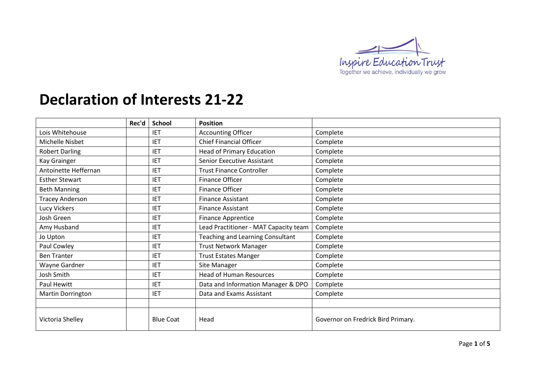

## **Declaration of Interests 21-22**

|                          | Rec'd | <b>School</b>    | <b>Position</b>                             |                                    |
|--------------------------|-------|------------------|---------------------------------------------|------------------------------------|
| Lois Whitehouse          |       | <b>IET</b>       | <b>Accounting Officer</b>                   | Complete                           |
| Michelle Nisbet          |       | <b>IET</b>       | <b>Chief Financial Officer</b>              | Complete                           |
| <b>Robert Darling</b>    |       | <b>IET</b>       | <b>Head of Primary Education</b>            | Complete                           |
| Kay Grainger             |       | <b>IET</b>       | <b>Senior Executive Assistant</b>           | Complete                           |
| Antoinette Heffernan     |       | <b>IET</b>       | <b>Trust Finance Controller</b><br>Complete |                                    |
| <b>Esther Stewart</b>    |       | <b>IET</b>       | Finance Officer<br>Complete                 |                                    |
| <b>Beth Manning</b>      |       | <b>IET</b>       | Finance Officer<br>Complete                 |                                    |
| <b>Tracey Anderson</b>   |       | <b>IET</b>       | <b>Finance Assistant</b><br>Complete        |                                    |
| Lucy Vickers             |       | <b>IET</b>       | <b>Finance Assistant</b>                    | Complete                           |
| Josh Green               |       | <b>IET</b>       | <b>Finance Apprentice</b>                   | Complete                           |
| Amy Husband              |       | <b>IET</b>       | Lead Practitioner - MAT Capacity team       | Complete                           |
| Jo Upton                 |       | <b>IET</b>       | Teaching and Learning Consultant            | Complete                           |
| Paul Cowley              |       | <b>IET</b>       | <b>Trust Network Manager</b>                | Complete                           |
| <b>Ben Tranter</b>       |       | <b>IET</b>       | <b>Trust Estates Manger</b>                 | Complete                           |
| Wayne Gardner            |       | <b>IET</b>       | Site Manager                                | Complete                           |
| Josh Smith               |       | <b>IET</b>       | <b>Head of Human Resources</b>              | Complete                           |
| Paul Hewitt              |       | <b>IET</b>       | Data and Information Manager & DPO          | Complete                           |
| <b>Martin Dorrington</b> |       | <b>IET</b>       | Data and Exams Assistant                    | Complete                           |
|                          |       |                  |                                             |                                    |
| Victoria Shelley         |       | <b>Blue Coat</b> | Head                                        | Governor on Fredrick Bird Primary. |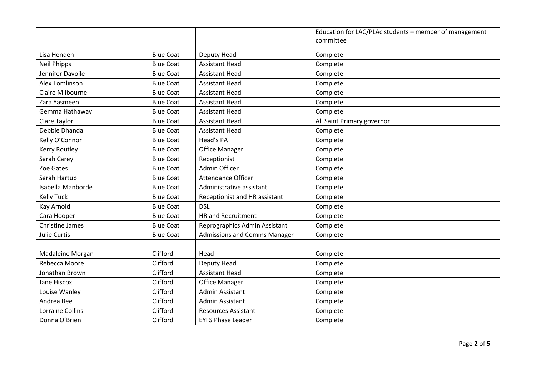|                         |                  |                                     | Education for LAC/PLAc students - member of management |
|-------------------------|------------------|-------------------------------------|--------------------------------------------------------|
|                         |                  |                                     | committee                                              |
| Lisa Henden             | <b>Blue Coat</b> | Deputy Head                         | Complete                                               |
| <b>Neil Phipps</b>      | <b>Blue Coat</b> | <b>Assistant Head</b>               | Complete                                               |
| Jennifer Davoile        | <b>Blue Coat</b> | <b>Assistant Head</b>               | Complete                                               |
| Alex Tomlinson          | <b>Blue Coat</b> | <b>Assistant Head</b>               | Complete                                               |
| Claire Milbourne        | <b>Blue Coat</b> | <b>Assistant Head</b>               | Complete                                               |
| Zara Yasmeen            | <b>Blue Coat</b> | <b>Assistant Head</b>               | Complete                                               |
| Gemma Hathaway          | <b>Blue Coat</b> | <b>Assistant Head</b>               | Complete                                               |
| Clare Taylor            | <b>Blue Coat</b> | <b>Assistant Head</b>               | All Saint Primary governor                             |
| Debbie Dhanda           | <b>Blue Coat</b> | <b>Assistant Head</b>               | Complete                                               |
| Kelly O'Connor          | <b>Blue Coat</b> | Head's PA                           | Complete                                               |
| <b>Kerry Routley</b>    | <b>Blue Coat</b> | <b>Office Manager</b>               | Complete                                               |
| Sarah Carey             | <b>Blue Coat</b> | Receptionist                        | Complete                                               |
| Zoe Gates               | <b>Blue Coat</b> | Admin Officer                       | Complete                                               |
| Sarah Hartup            | <b>Blue Coat</b> | Attendance Officer                  | Complete                                               |
| Isabella Manborde       | <b>Blue Coat</b> | Administrative assistant            | Complete                                               |
| <b>Kelly Tuck</b>       | <b>Blue Coat</b> | Receptionist and HR assistant       | Complete                                               |
| Kay Arnold              | <b>Blue Coat</b> | <b>DSL</b>                          | Complete                                               |
| Cara Hooper             | <b>Blue Coat</b> | <b>HR</b> and Recruitment           | Complete                                               |
| <b>Christine James</b>  | <b>Blue Coat</b> | Reprographics Admin Assistant       | Complete                                               |
| Julie Curtis            | <b>Blue Coat</b> | <b>Admissions and Comms Manager</b> | Complete                                               |
|                         |                  |                                     |                                                        |
| Madaleine Morgan        | Clifford         | Head                                | Complete                                               |
| Rebecca Moore           | Clifford         | Deputy Head                         | Complete                                               |
| Jonathan Brown          | Clifford         | <b>Assistant Head</b>               | Complete                                               |
| Jane Hiscox             | Clifford         | <b>Office Manager</b>               | Complete                                               |
| Louise Wanley           | Clifford         | Admin Assistant                     | Complete                                               |
| Andrea Bee              | Clifford         | Admin Assistant                     | Complete                                               |
| <b>Lorraine Collins</b> | Clifford         | <b>Resources Assistant</b>          | Complete                                               |
| Donna O'Brien           | Clifford         | <b>EYFS Phase Leader</b>            | Complete                                               |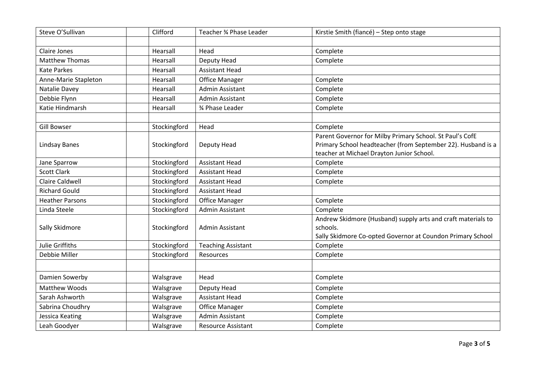| Steve O'Sullivan       | Clifford     | Teacher % Phase Leader    | Kirstie Smith (fiancé) - Step onto stage                     |
|------------------------|--------------|---------------------------|--------------------------------------------------------------|
|                        |              |                           |                                                              |
| <b>Claire Jones</b>    | Hearsall     | Head                      | Complete                                                     |
| <b>Matthew Thomas</b>  | Hearsall     | Deputy Head               | Complete                                                     |
| <b>Kate Parkes</b>     | Hearsall     | <b>Assistant Head</b>     |                                                              |
| Anne-Marie Stapleton   | Hearsall     | <b>Office Manager</b>     | Complete                                                     |
| Natalie Davey          | Hearsall     | Admin Assistant           | Complete                                                     |
| Debbie Flynn           | Hearsall     | Admin Assistant           | Complete                                                     |
| Katie Hindmarsh        | Hearsall     | % Phase Leader            | Complete                                                     |
|                        |              |                           |                                                              |
| <b>Gill Bowser</b>     | Stockingford | Head                      | Complete                                                     |
|                        |              |                           | Parent Governor for Milby Primary School. St Paul's CofE     |
| <b>Lindsay Banes</b>   | Stockingford | Deputy Head               | Primary School headteacher (from September 22). Husband is a |
|                        |              |                           | teacher at Michael Drayton Junior School.                    |
| Jane Sparrow           | Stockingford | <b>Assistant Head</b>     | Complete                                                     |
| <b>Scott Clark</b>     | Stockingford | <b>Assistant Head</b>     | Complete                                                     |
| <b>Claire Caldwell</b> | Stockingford | <b>Assistant Head</b>     | Complete                                                     |
| <b>Richard Gould</b>   | Stockingford | <b>Assistant Head</b>     |                                                              |
| <b>Heather Parsons</b> | Stockingford | <b>Office Manager</b>     | Complete                                                     |
| Linda Steele           | Stockingford | Admin Assistant           | Complete                                                     |
|                        |              |                           | Andrew Skidmore (Husband) supply arts and craft materials to |
| Sally Skidmore         | Stockingford | Admin Assistant           | schools.                                                     |
|                        |              |                           | Sally Skidmore Co-opted Governor at Coundon Primary School   |
| Julie Griffiths        | Stockingford | <b>Teaching Assistant</b> | Complete                                                     |
| Debbie Miller          | Stockingford | Resources                 | Complete                                                     |
|                        |              |                           |                                                              |
| Damien Sowerby         | Walsgrave    | Head                      | Complete                                                     |
| Matthew Woods          | Walsgrave    | Deputy Head               | Complete                                                     |
| Sarah Ashworth         | Walsgrave    | <b>Assistant Head</b>     | Complete                                                     |
| Sabrina Choudhry       | Walsgrave    | <b>Office Manager</b>     | Complete                                                     |
| Jessica Keating        | Walsgrave    | <b>Admin Assistant</b>    | Complete                                                     |
| Leah Goodyer           | Walsgrave    | <b>Resource Assistant</b> | Complete                                                     |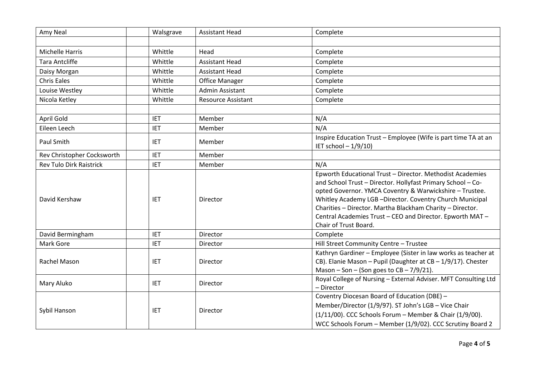| Amy Neal                       | Walsgrave  | <b>Assistant Head</b>     | Complete                                                                                                                                                                                                                                                                                                                                                                                          |
|--------------------------------|------------|---------------------------|---------------------------------------------------------------------------------------------------------------------------------------------------------------------------------------------------------------------------------------------------------------------------------------------------------------------------------------------------------------------------------------------------|
|                                |            |                           |                                                                                                                                                                                                                                                                                                                                                                                                   |
| <b>Michelle Harris</b>         | Whittle    | Head                      | Complete                                                                                                                                                                                                                                                                                                                                                                                          |
| <b>Tara Antcliffe</b>          | Whittle    | <b>Assistant Head</b>     | Complete                                                                                                                                                                                                                                                                                                                                                                                          |
| Daisy Morgan                   | Whittle    | <b>Assistant Head</b>     | Complete                                                                                                                                                                                                                                                                                                                                                                                          |
| <b>Chris Eales</b>             | Whittle    | <b>Office Manager</b>     | Complete                                                                                                                                                                                                                                                                                                                                                                                          |
| Louise Westley                 | Whittle    | Admin Assistant           | Complete                                                                                                                                                                                                                                                                                                                                                                                          |
| Nicola Ketley                  | Whittle    | <b>Resource Assistant</b> | Complete                                                                                                                                                                                                                                                                                                                                                                                          |
|                                |            |                           |                                                                                                                                                                                                                                                                                                                                                                                                   |
| April Gold                     | <b>IET</b> | Member                    | N/A                                                                                                                                                                                                                                                                                                                                                                                               |
| Eileen Leech                   | <b>IET</b> | Member                    | N/A                                                                                                                                                                                                                                                                                                                                                                                               |
| Paul Smith                     | <b>IET</b> | Member                    | Inspire Education Trust - Employee (Wife is part time TA at an<br>IET school - 1/9/10)                                                                                                                                                                                                                                                                                                            |
| Rev Christopher Cocksworth     | <b>IET</b> | Member                    |                                                                                                                                                                                                                                                                                                                                                                                                   |
| <b>Rev Tulo Dirk Raistrick</b> | <b>IET</b> | Member                    | N/A                                                                                                                                                                                                                                                                                                                                                                                               |
| David Kershaw                  | <b>IET</b> | Director                  | Epworth Educational Trust - Director. Methodist Academies<br>and School Trust - Director. Hollyfast Primary School - Co-<br>opted Governor. YMCA Coventry & Warwickshire - Trustee.<br>Whitley Academy LGB-Director. Coventry Church Municipal<br>Charities - Director. Martha Blackham Charity - Director.<br>Central Academies Trust - CEO and Director. Epworth MAT -<br>Chair of Trust Board. |
| David Bermingham               | <b>IET</b> | Director                  | Complete                                                                                                                                                                                                                                                                                                                                                                                          |
| Mark Gore                      | <b>IET</b> | Director                  | Hill Street Community Centre - Trustee                                                                                                                                                                                                                                                                                                                                                            |
| Rachel Mason                   | <b>IET</b> | Director                  | Kathryn Gardiner - Employee (Sister in law works as teacher at<br>CB). Elanie Mason - Pupil (Daughter at CB - 1/9/17). Chester<br>Mason - Son - (Son goes to $CB - 7/9/21$ ).                                                                                                                                                                                                                     |
| Mary Aluko                     | <b>IET</b> | Director                  | Royal College of Nursing - External Adviser. MFT Consulting Ltd<br>- Director                                                                                                                                                                                                                                                                                                                     |
| Sybil Hanson                   | <b>IET</b> | Director                  | Coventry Diocesan Board of Education (DBE) -<br>Member/Director (1/9/97). ST John's LGB - Vice Chair<br>(1/11/00). CCC Schools Forum - Member & Chair (1/9/00).<br>WCC Schools Forum - Member (1/9/02). CCC Scrutiny Board 2                                                                                                                                                                      |